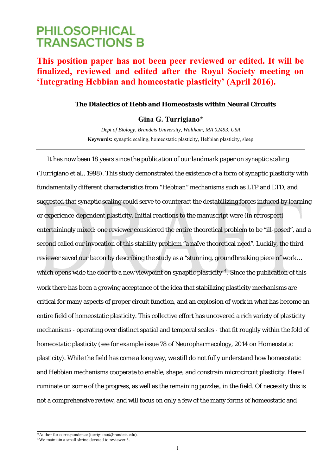# **PHILOSOPHICAL TRANSACTIONS B**

## **This position paper has not been peer reviewed or edited. It will be finalized, reviewed and edited after the Royal Society meeting on 'Integrating Hebbian and homeostatic plasticity' (April 2016).**

### **The Dialectics of Hebb and Homeostasis within Neural Circuits**

### **Gina G. Turrigiano\***

*Dept of Biology, Brandeis University, Waltham, MA 02493, USA*  **Keywords:** synaptic scaling, homeostatic plasticity, Hebbian plasticity, sleep

It has now been 18 years since the publication of our landmark paper on synaptic scaling (Turrigiano et al., 1998). This study demonstrated the existence of a form of synaptic plasticity with fundamentally different characteristics from "Hebbian" mechanisms such as LTP and LTD, and suggested that synaptic scaling could serve to counteract the destabilizing forces induced by learning or experience-dependent plasticity. Initial reactions to the manuscript were (in retrospect) entertainingly mixed: one reviewer considered the entire theoretical problem to be "ill-posed", and a second called our invocation of this stability problem "a naïve theoretical need". Luckily, the third reviewer saved our bacon by describing the study as a "stunning, groundbreaking piece of work… which opens wide the door to a new viewpoint on synaptic plasticity"<sup>†</sup>. Since the publication of this work there has been a growing acceptance of the idea that stabilizing plasticity mechanisms are critical for many aspects of proper circuit function, and an explosion of work in what has become an entire field of homeostatic plasticity. This collective effort has uncovered a rich variety of plasticity mechanisms - operating over distinct spatial and temporal scales - that fit roughly within the fold of homeostatic plasticity (see for example issue 78 of Neuropharmacology, 2014 on Homeostatic plasticity). While the field has come a long way, we still do not fully understand how homeostatic and Hebbian mechanisms cooperate to enable, shape, and constrain microcircuit plasticity. Here I ruminate on some of the progress, as well as the remaining puzzles, in the field. Of necessity this is not a comprehensive review, and will focus on only a few of the many forms of homeostatic and

<sup>\*</sup>Author for correspondence (turrigiano@brandeis.edu).

<sup>†</sup>We maintain a small shrine devoted to reviewer 3.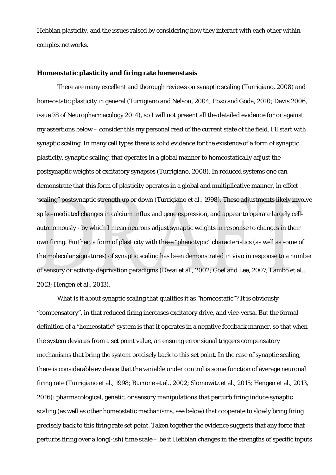Hebbian plasticity, and the issues raised by considering how they interact with each other within complex networks.

#### **Homeostatic plasticity and firing rate homeostasis**

There are many excellent and thorough reviews on synaptic scaling (Turrigiano, 2008) and homeostatic plasticity in general (Turrigiano and Nelson, 2004; Pozo and Goda, 2010; Davis 2006, issue 78 of Neuropharmacology 2014), so I will not present all the detailed evidence for or against my assertions below – consider this my personal read of the current state of the field. I'll start with synaptic scaling. In many cell types there is solid evidence for the existence of a form of synaptic plasticity, synaptic scaling, that operates in a global manner to homeostatically adjust the postsynaptic weights of excitatory synapses (Turrigiano, 2008). In reduced systems one can demonstrate that this form of plasticity operates in a global and multiplicative manner, in effect 'scaling" postsynaptic strength up or down (Turrigiano et al., 1998). These adjustments likely involve spike-mediated changes in calcium influx and gene expression, and appear to operate largely cellautonomously - by which I mean neurons adjust synaptic weights in response to changes in their own firing. Further, a form of plasticity with these "phenotypic" characteristics (as well as some of the molecular signatures) of synaptic scaling has been demonstrated *in vivo* in response to a number of sensory or activity-deprivation paradigms (Desai et al., 2002; Goel and Lee, 2007; Lambo et al., 2013; Hengen et al., 2013).

What is it about synaptic scaling that qualifies it as "homeostatic"? It is obviously "compensatory", in that reduced firing increases excitatory drive, and vice-versa. But the formal definition of a "homeostatic" system is that it operates in a negative feedback manner, so that when the system deviates from a set point value, an ensuing error signal triggers compensatory mechanisms that bring the system precisely back to this set point. In the case of synaptic scaling, there is considerable evidence that the variable under control is some function of average neuronal firing rate (Turrigiano et al., 1998; Burrone et al., 2002; Slomowitz et al., 2015; Hengen et al., 2013, 2016): pharmacological, genetic, or sensory manipulations that perturb firing induce synaptic scaling (as well as other homeostatic mechanisms, see below) that cooperate to slowly bring firing precisely back to this firing rate set point. Taken together the evidence suggests that any force that perturbs firing over a long(-ish) time scale – be it Hebbian changes in the strengths of specific inputs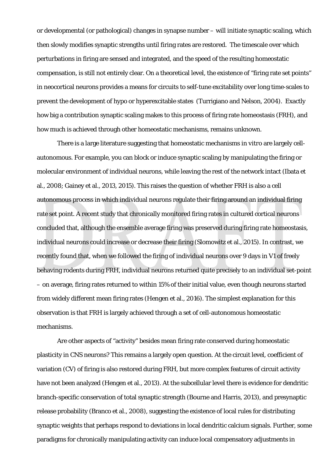or developmental (or pathological) changes in synapse number – will initiate synaptic scaling, which then slowly modifies synaptic strengths until firing rates are restored. The timescale over which perturbations in firing are sensed and integrated, and the speed of the resulting homeostatic compensation, is still not entirely clear. On a theoretical level, the existence of "firing rate set points" in neocortical neurons provides a means for circuits to self-tune excitability over long time-scales to prevent the development of hypo or hyperexcitable states (Turrigiano and Nelson, 2004). Exactly how big a contribution synaptic scaling makes to this process of firing rate homeostasis (FRH), and how much is achieved through other homeostatic mechanisms, remains unknown.

There is a large literature suggesting that homeostatic mechanisms *in vitro* are largely cellautonomous. For example, you can block or induce synaptic scaling by manipulating the firing or molecular environment of individual neurons, while leaving the rest of the network intact (Ibata et al., 2008; Gainey et al., 2013, 2015). This raises the question of whether FRH is also a cell autonomous process in which individual neurons regulate their firing around an individual firing rate set point. A recent study that chronically monitored firing rates in cultured cortical neurons concluded that, although the ensemble average firing was preserved during firing rate homeostasis, individual neurons could increase or decrease their firing (Slomowitz et al., 2015). In contrast, we recently found that, when we followed the firing of individual neurons over 9 days in V1 of freely behaving rodents during FRH, individual neurons returned quite precisely to an individual set-point – on average, firing rates returned to within 15% of their initial value, even though neurons started from widely different mean firing rates (Hengen et al., 2016). The simplest explanation for this observation is that FRH is largely achieved through a set of cell-autonomous homeostatic mechanisms.

Are other aspects of "activity" besides mean firing rate conserved during homeostatic plasticity in CNS neurons? This remains a largely open question. At the circuit level, coefficient of variation (CV) of firing is also restored during FRH, but more complex features of circuit activity have not been analyzed (Hengen et al., 2013). At the subcellular level there is evidence for dendritic branch-specific conservation of total synaptic strength (Bourne and Harris, 2013), and presynaptic release probability (Branco et al., 2008), suggesting the existence of local rules for distributing synaptic weights that perhaps respond to deviations in local dendritic calcium signals. Further, some paradigms for chronically manipulating activity can induce local compensatory adjustments in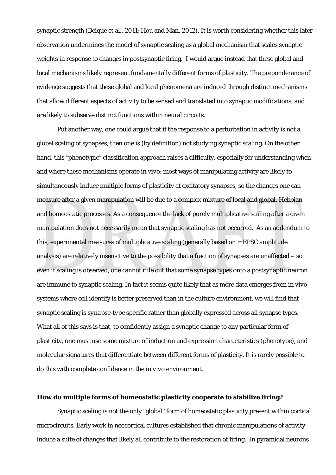synaptic strength (Beique et al., 2011; Hou and Man, 2012). It is worth considering whether this later observation undermines the model of synaptic scaling as a global mechanism that scales synaptic weights in response to changes in postsynaptic firing. I would argue instead that these global and local mechanisms likely represent fundamentally different forms of plasticity. The preponderance of evidence suggests that these global and local phenomena are induced through distinct mechanisms that allow different aspects of activity to be sensed and translated into synaptic modifications, and are likely to subserve distinct functions within neural circuits.

Put another way, one could argue that if the response to a perturbation in activity is not a global scaling of synapses, then one is (by definition) not studying synaptic scaling. On the other hand, this "phenotypic" classification approach raises a difficulty, especially for understanding when and where these mechanisms operate *in vivo*: most ways of manipulating activity are likely to simultaneously induce multiple forms of plasticity at excitatory synapses, so the changes one can measure after a given manipulation will be due to a complex mixture of local and global, Hebbian and homeostatic processes. As a consequence the lack of purely multiplicative scaling after a given manipulation does not necessarily mean that synaptic scaling has not occurred. As an addendum to this, experimental measures of multiplicative scaling (generally based on mEPSC amplitude analysis) are relatively insensitive to the possibility that a fraction of synapses are unaffected – so even if scaling is observed, one cannot rule out that some synapse types onto a postsynaptic neuron are immune to synaptic scaling. In fact it seems quite likely that as more data emerges from *in vivo* systems where cell identify is better preserved than in the culture environment, we will find that synaptic scaling is *synapse-type* specific rather than globally expressed across all synapse types. What all of this says is that, to confidently assign a synaptic change to any particular form of plasticity, one must use some mixture of induction and expression characteristics (phenotype), and molecular signatures that differentiate between different forms of plasticity. It is rarely possible to do this with complete confidence in the *in vivo* environment.

#### **How do multiple forms of homeostatic plasticity cooperate to stabilize firing?**

 Synaptic scaling is not the only "global" form of homeostatic plasticity present within cortical microcircuits. Early work in neocortical cultures established that chronic manipulations of activity induce a suite of changes that likely all contribute to the restoration of firing. In pyramidal neurons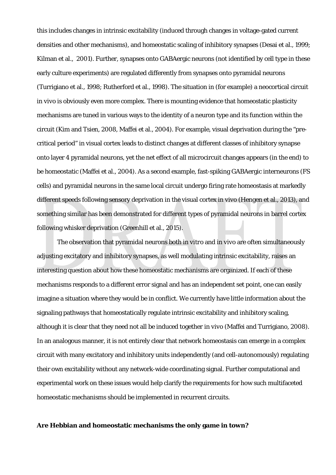this includes changes in intrinsic excitability (induced through changes in voltage-gated current densities and other mechanisms), and homeostatic scaling of inhibitory synapses (Desai et al., 1999; Kilman et al., 2001). Further, synapses onto GABAergic neurons (not identified by cell type in these early culture experiments) are regulated differently from synapses onto pyramidal neurons (Turrigiano et al., 1998; Rutherford et al., 1998). The situation in (for example) a neocortical circuit *in vivo* is obviously even more complex. There is mounting evidence that homeostatic plasticity mechanisms are tuned in various ways to the identity of a neuron type and its function within the circuit (Kim and Tsien, 2008, Maffei et al., 2004). For example, visual deprivation during the "precritical period" in visual cortex leads to distinct changes at different classes of inhibitory synapse onto layer 4 pyramidal neurons, yet the net effect of all microcircuit changes appears (in the end) to be homeostatic (Maffei et al., 2004). As a second example, fast-spiking GABAergic interneurons (FS cells) and pyramidal neurons in the same local circuit undergo firing rate homeostasis at markedly different speeds following sensory deprivation in the visual cortex *in vivo* (Hengen et al., 2013), and something similar has been demonstrated for different types of pyramidal neurons in barrel cortex following whisker deprivation (Greenhill et al., 2015).

The observation that pyramidal neurons both *in vitro* and *in vivo* are often simultaneously adjusting excitatory and inhibitory synapses, as well modulating intrinsic excitability, raises an interesting question about how these homeostatic mechanisms are organized. If each of these mechanisms responds to a different error signal and has an independent set point, one can easily imagine a situation where they would be in conflict. We currently have little information about the signaling pathways that homeostatically regulate intrinsic excitability and inhibitory scaling, although it is clear that they need not all be induced together *in vivo* (Maffei and Turrigiano, 2008). In an analogous manner, it is not entirely clear that network homeostasis can emerge in a complex circuit with many excitatory and inhibitory units independently (and cell-autonomously) regulating their own excitability without any network-wide coordinating signal. Further computational and experimental work on these issues would help clarify the requirements for how such multifaceted homeostatic mechanisms should be implemented in recurrent circuits.

#### **Are Hebbian and homeostatic mechanisms the only game in town?**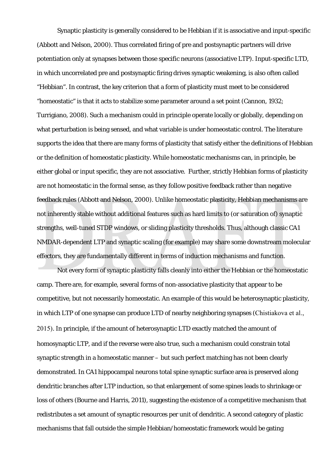Synaptic plasticity is generally considered to be Hebbian if it is associative and input-specific (Abbott and Nelson, 2000). Thus correlated firing of pre and postsynaptic partners will drive potentiation only at synapses between those specific neurons (associative LTP). Input-specific LTD, in which uncorrelated pre and postsynaptic firing drives synaptic weakening, is also often called "Hebbian". In contrast, the key criterion that a form of plasticity must meet to be considered "homeostatic" is that it acts to stabilize some parameter around a set point (Cannon, 1932; Turrigiano, 2008). Such a mechanism could in principle operate locally or globally, depending on what perturbation is being sensed, and what variable is under homeostatic control. The literature supports the idea that there are many forms of plasticity that satisfy either the definitions of Hebbian or the definition of homeostatic plasticity. While homeostatic mechanisms can, in principle, be either global or input specific, they are not associative. Further, strictly Hebbian forms of plasticity are not homeostatic in the formal sense, as they follow positive feedback rather than negative feedback rules (Abbott and Nelson, 2000). Unlike homeostatic plasticity, Hebbian mechanisms are not inherently stable without additional features such as hard limits to (or saturation of) synaptic strengths, well-tuned STDP windows, or sliding plasticity thresholds. Thus, although classic CA1 NMDAR-dependent LTP and synaptic scaling (for example) may share some downstream molecular effectors, they are fundamentally different in terms of induction mechanisms and function.

Not every form of synaptic plasticity falls cleanly into either the Hebbian or the homeostatic camp. There are, for example, several forms of non-associative plasticity that appear to be competitive, but not necessarily homeostatic. An example of this would be heterosynaptic plasticity, in which LTP of one synapse can produce LTD of nearby neighboring synapses (Chistiakova et al., 2015). In principle, if the amount of heterosynaptic LTD exactly matched the amount of homosynaptic LTP, and if the reverse were also true, such a mechanism could constrain total synaptic strength in a homeostatic manner – but such perfect matching has not been clearly demonstrated. In CA1 hippocampal neurons total spine synaptic surface area is preserved along dendritic branches after LTP induction, so that enlargement of some spines leads to shrinkage or loss of others (Bourne and Harris, 2011), suggesting the existence of a competitive mechanism that redistributes a set amount of synaptic resources per unit of dendritic. A second category of plastic mechanisms that fall outside the simple Hebbian/homeostatic framework would be gating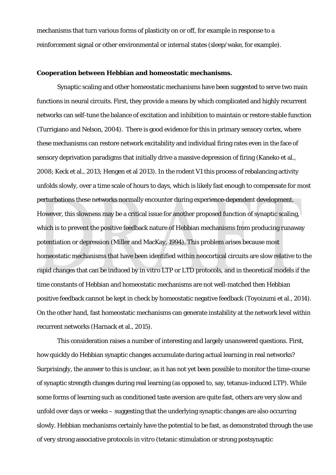mechanisms that turn various forms of plasticity on or off, for example in response to a reinforcement signal or other environmental or internal states (sleep/wake, for example).

#### **Cooperation between Hebbian and homeostatic mechanisms.**

Synaptic scaling and other homeostatic mechanisms have been suggested to serve two main functions in neural circuits. First, they provide a means by which complicated and highly recurrent networks can self-tune the balance of excitation and inhibition to maintain or restore stable function (Turrigiano and Nelson, 2004). There is good evidence for this in primary sensory cortex, where these mechanisms can restore network excitability and individual firing rates even in the face of sensory deprivation paradigms that initially drive a massive depression of firing (Kaneko et al., 2008; Keck et al., 2013; Hengen et al 2013). In the rodent V1 this process of rebalancing activity unfolds slowly, over a time scale of hours to days, which is likely fast enough to compensate for most perturbations these networks normally encounter during experience-dependent development. However, this slowness may be a critical issue for another proposed function of synaptic scaling, which is to prevent the positive feedback nature of Hebbian mechanisms from producing runaway potentiation or depression (Miller and MacKay, 1994). This problem arises because most homeostatic mechanisms that have been identified within neocortical circuits are slow relative to the rapid changes that can be induced by *in vitro* LTP or LTD protocols, and in theoretical models if the time constants of Hebbian and homeostatic mechanisms are not well-matched then Hebbian positive feedback cannot be kept in check by homeostatic negative feedback (Toyoizumi et al., 2014). On the other hand, fast homeostatic mechanisms can generate instability at the network level within recurrent networks (Harnack et al., 2015).

This consideration raises a number of interesting and largely unanswered questions. First, how quickly do Hebbian synaptic changes accumulate during actual learning in real networks? Surprisingly, the answer to this is unclear, as it has not yet been possible to monitor the time-course of synaptic strength changes during real learning (as opposed to, say, tetanus-induced LTP). While some forms of learning such as conditioned taste aversion are quite fast, others are very slow and unfold over days or weeks – suggesting that the underlying synaptic changes are also occurring slowly. Hebbian mechanisms certainly have the potential to be fast, as demonstrated through the use of very strong associative protocols *in vitro (*tetanic stimulation or strong postsynaptic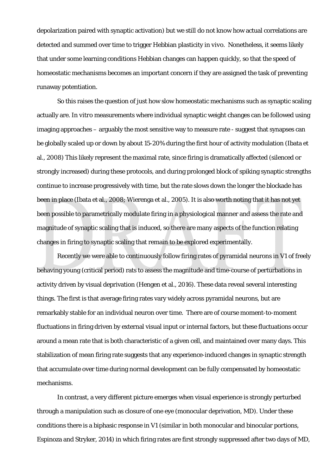depolarization paired with synaptic activation) but we still do not know how actual correlations are detected and summed over time to trigger Hebbian plasticity *in vivo*. Nonetheless, it seems likely that under some learning conditions Hebbian changes can happen quickly, so that the speed of homeostatic mechanisms becomes an important concern if they are assigned the task of preventing runaway potentiation.

So this raises the question of just how slow homeostatic mechanisms such as synaptic scaling actually are. *In vitro* measurements where individual synaptic weight changes can be followed using imaging approaches – arguably the most sensitive way to measure rate - suggest that synapses can be globally scaled up or down by about 15-20% during the first hour of activity modulation (Ibata et al., 2008) This likely represent the maximal rate, since firing is dramatically affected (silenced or strongly increased) during these protocols, and during prolonged block of spiking synaptic strengths continue to increase progressively with time, but the rate slows down the longer the blockade has been in place (Ibata et al., 2008; Wierenga et al., 2005). It is also worth noting that it has not yet been possible to parametrically modulate firing in a physiological manner and assess the rate and magnitude of synaptic scaling that is induced, so there are many aspects of the function relating changes in firing to synaptic scaling that remain to be explored experimentally.

Recently we were able to continuously follow firing rates of pyramidal neurons in V1 of freely behaving young (critical period) rats to assess the magnitude and time-course of perturbations in activity driven by visual deprivation (Hengen et al., 2016). These data reveal several interesting things. The first is that average firing rates vary widely across pyramidal neurons, but are remarkably stable for an individual neuron over time. There are of course moment-to-moment fluctuations in firing driven by external visual input or internal factors, but these fluctuations occur around a mean rate that is both characteristic of a given cell, and maintained over many days. This stabilization of mean firing rate suggests that any experience-induced changes in synaptic strength that accumulate over time during normal development can be fully compensated by homeostatic mechanisms.

In contrast, a very different picture emerges when visual experience is strongly perturbed through a manipulation such as closure of one eye (monocular deprivation, MD). Under these conditions there is a biphasic response in V1 (similar in both monocular and binocular portions, Espinoza and Stryker, 2014) in which firing rates are first strongly suppressed after two days of MD,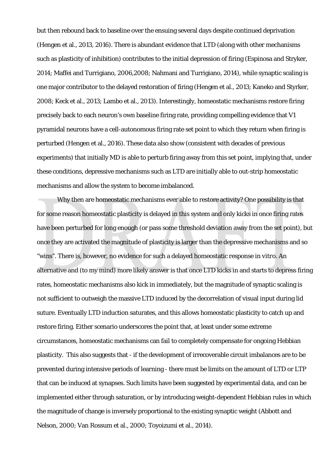but then rebound back to baseline over the ensuing several days despite continued deprivation (Hengen et al., 2013, 2016). There is abundant evidence that LTD (along with other mechanisms such as plasticity of inhibition) contributes to the initial depression of firing (Espinosa and Stryker, 2014; Maffei and Turrigiano, 2006,2008; Nahmani and Turrigiano, 2014), while synaptic scaling is one major contributor to the delayed restoration of firing (Hengen et al., 2013; Kaneko and Styrker, 2008; Keck et al., 2013; Lambo et al., 2013). Interestingly, homeostatic mechanisms restore firing precisely back to each neuron's own baseline firing rate, providing compelling evidence that V1 pyramidal neurons have a cell-autonomous firing rate set point to which they return when firing is perturbed (Hengen et al., 2016). These data also show (consistent with decades of previous experiments) that initially MD is able to perturb firing away from this set point, implying that, under these conditions, depressive mechanisms such as LTD are initially able to out-strip homeostatic mechanisms and allow the system to become imbalanced.

 Why then are homeostatic mechanisms ever able to restore activity? One possibility is that for some reason homeostatic plasticity is delayed in this system and only kicks in once firing rates have been perturbed for long enough (or pass some threshold deviation away from the set point), but once they are activated the magnitude of plasticity is larger than the depressive mechanisms and so "wins". There is, however, no evidence for such a delayed homeostatic response *in vitro*. An alternative and (to my mind) more likely answer is that once LTD kicks in and starts to depress firing rates, homeostatic mechanisms also kick in immediately, but the magnitude of synaptic scaling is not sufficient to outweigh the massive LTD induced by the decorrelation of visual input during lid suture. Eventually LTD induction saturates, and this allows homeostatic plasticity to catch up and restore firing. Either scenario underscores the point that, at least under some extreme circumstances, homeostatic mechanisms can fail to completely compensate for ongoing Hebbian plasticity. This also suggests that - if the development of irrecoverable circuit imbalances are to be prevented during intensive periods of learning - there must be limits on the amount of LTD or LTP that can be induced at synapses. Such limits have been suggested by experimental data, and can be implemented either through saturation, or by introducing weight-dependent Hebbian rules in which the magnitude of change is inversely proportional to the existing synaptic weight (Abbott and Nelson, 2000; Van Rossum et al., 2000; Toyoizumi et al., 2014).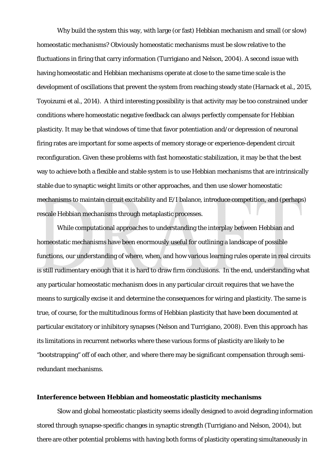Why build the system this way, with large (or fast) Hebbian mechanism and small (or slow) homeostatic mechanisms? Obviously homeostatic mechanisms must be slow relative to the fluctuations in firing that carry information (Turrigiano and Nelson, 2004). A second issue with having homeostatic and Hebbian mechanisms operate at close to the same time scale is the development of oscillations that prevent the system from reaching steady state (Harnack et al., 2015, Toyoizumi et al., 2014). A third interesting possibility is that activity may be too constrained under conditions where homeostatic negative feedback can always perfectly compensate for Hebbian plasticity. It may be that windows of time that favor potentiation and/or depression of neuronal firing rates are important for some aspects of memory storage or experience-dependent circuit reconfiguration. Given these problems with fast homeostatic stabilization, it may be that the best way to achieve both a flexible and stable system is to use Hebbian mechanisms that are intrinsically stable due to synaptic weight limits or other approaches, and then use slower homeostatic mechanisms to maintain circuit excitability and E/I balance, introduce competition, and (perhaps) rescale Hebbian mechanisms through metaplastic processes.

While computational approaches to understanding the interplay between Hebbian and homeostatic mechanisms have been enormously useful for outlining a landscape of possible functions, our understanding of where, when, and how various learning rules operate in real circuits is still rudimentary enough that it is hard to draw firm conclusions. In the end, understanding what any particular homeostatic mechanism does in any particular circuit requires that we have the means to surgically excise it and determine the consequences for wiring and plasticity. The same is true, of course, for the multitudinous forms of Hebbian plasticity that have been documented at particular excitatory or inhibitory synapses (Nelson and Turrigiano, 2008). Even this approach has its limitations in recurrent networks where these various forms of plasticity are likely to be "bootstrapping" off of each other, and where there may be significant compensation through semiredundant mechanisms.

#### **Interference between Hebbian and homeostatic plasticity mechanisms**

Slow and global homeostatic plasticity seems ideally designed to avoid degrading information stored through synapse-specific changes in synaptic strength (Turrigiano and Nelson, 2004), but there are other potential problems with having both forms of plasticity operating simultaneously in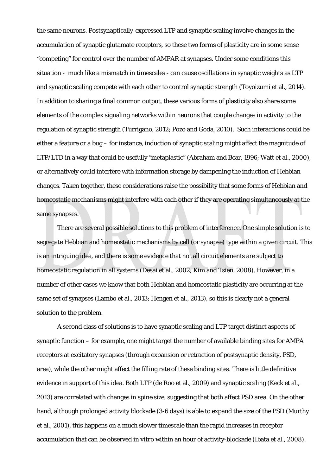the same neurons. Postsynaptically-expressed LTP and synaptic scaling involve changes in the accumulation of synaptic glutamate receptors, so these two forms of plasticity are in some sense "competing" for control over the number of AMPAR at synapses. Under some conditions this situation - much like a mismatch in timescales - can cause oscillations in synaptic weights as LTP and synaptic scaling compete with each other to control synaptic strength (Toyoizumi et al., 2014). In addition to sharing a final common output, these various forms of plasticity also share some elements of the complex signaling networks within neurons that couple changes in activity to the regulation of synaptic strength (Turrigano, 2012; Pozo and Goda, 2010). Such interactions could be either a feature or a bug – for instance, induction of synaptic scaling might affect the magnitude of LTP/LTD in a way that could be usefully "metaplastic" (Abraham and Bear, 1996; Watt et al., 2000), or alternatively could interfere with information storage by dampening the induction of Hebbian changes. Taken together, these considerations raise the possibility that some forms of Hebbian and homeostatic mechanisms might interfere with each other if they are operating simultaneously at the same synapses.

There are several possible solutions to this problem of interference. One simple solution is to segregate Hebbian and homeostatic mechanisms by cell (or synapse) type within a given circuit. This is an intriguing idea, and there is some evidence that not all circuit elements are subject to homeostatic regulation in all systems (Desai et al., 2002; Kim and Tsien, 2008). However, in a number of other cases we know that both Hebbian and homeostatic plasticity are occurring at the same set of synapses (Lambo et al., 2013; Hengen et al., 2013), so this is clearly not a general solution to the problem.

 A second class of solutions is to have synaptic scaling and LTP target distinct aspects of synaptic function – for example, one might target the number of available binding sites for AMPA receptors at excitatory synapses (through expansion or retraction of postsynaptic density, PSD, area), while the other might affect the filling rate of these binding sites. There is little definitive evidence in support of this idea. Both LTP (de Roo et al., 2009) and synaptic scaling (Keck et al., 2013) are correlated with changes in spine size, suggesting that both affect PSD area. On the other hand, although prolonged activity blockade (3-6 days) is able to expand the size of the PSD (Murthy et al., 2001), this happens on a much slower timescale than the rapid increases in receptor accumulation that can be observed *in vitro* within an hour of activity-blockade (Ibata et al., 2008).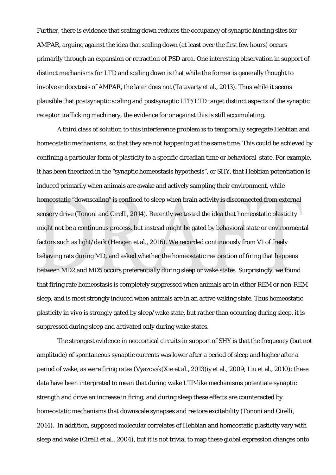Further, there is evidence that scaling down reduces the occupancy of synaptic binding sites for AMPAR, arguing against the idea that scaling down (at least over the first few hours) occurs primarily through an expansion or retraction of PSD area. One interesting observation in support of distinct mechanisms for LTD and scaling down is that while the former is generally thought to involve endocytosis of AMPAR, the later does not (Tatavarty et al., 2013). Thus while it seems plausible that postsynaptic scaling and postsynaptic LTP/LTD target distinct aspects of the synaptic receptor trafficking machinery, the evidence for or against this is still accumulating.

A third class of solution to this interference problem is to *temporally* segregate Hebbian and homeostatic mechanisms, so that they are not happening at the same time. This could be achieved by confining a particular form of plasticity to a specific circadian time or behavioral state. For example, it has been theorized in the "synaptic homeostasis hypothesis", or SHY, that Hebbian potentiation is induced primarily when animals are awake and actively sampling their environment, while homeostatic "downscaling" is confined to sleep when brain activity is disconnected from external sensory drive (Tononi and Cirelli, 2014). Recently we tested the idea that homeostatic plasticity might not be a continuous process, but instead might be gated by behavioral state or environmental factors such as light/dark (Hengen et al., 2016). We recorded continuously from V1 of freely behaving rats during MD, and asked whether the homeostatic restoration of firing that happens between MD2 and MD5 occurs preferentially during sleep or wake states. Surprisingly, we found that firing rate homeostasis is completely suppressed when animals are in either REM or non-REM sleep, and is most strongly induced when animals are in an active waking state. Thus homeostatic plasticity *in vivo* is strongly gated by sleep/wake state, but rather than occurring during sleep, it is suppressed during sleep and activated only during wake states.

The strongest evidence in neocortical circuits in support of SHY is that the frequency (but not amplitude) of spontaneous synaptic currents was lower after a period of sleep and higher after a period of wake, as were firing rates (Vyazovsk(Xie et al., 2013)iy et al., 2009; Liu et al., 2010); these data have been interpreted to mean that during wake LTP-like mechanisms potentiate synaptic strength and drive an increase in firing, and during sleep these effects are counteracted by homeostatic mechanisms that downscale synapses and restore excitability (Tononi and Cirelli, 2014). In addition, supposed molecular correlates of Hebbian and homeostatic plasticity vary with sleep and wake (Cirelli et al., 2004), but it is not trivial to map these global expression changes onto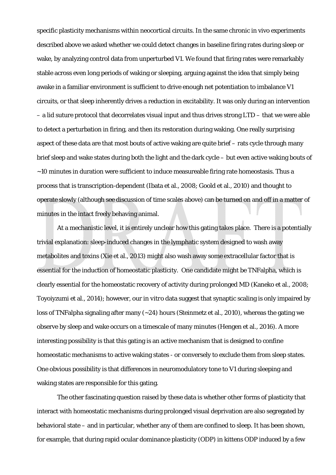specific plasticity mechanisms within neocortical circuits. In the same chronic in vivo experiments described above we asked whether we could detect changes in baseline firing rates during sleep or wake, by analyzing control data from unperturbed V1. We found that firing rates were remarkably stable across even long periods of waking or sleeping, arguing against the idea that simply being awake in a familiar environment is sufficient to drive enough net potentiation to imbalance V1 circuits, or that sleep inherently drives a reduction in excitability. It was only during an intervention – a lid suture protocol that decorrelates visual input and thus drives strong LTD – that we were able to detect a perturbation in firing, and then its restoration during waking. One really surprising aspect of these data are that most bouts of active waking are quite brief – rats cycle through many brief sleep and wake states during both the light and the dark cycle – but even active waking bouts of ~10 minutes in duration were sufficient to induce measureable firing rate homeostasis. Thus a process that is transcription-dependent (Ibata et al., 2008; Goold et al., 2010) and thought to operate slowly (although see discussion of time scales above) can be turned on and off in a matter of minutes in the intact freely behaving animal.

At a mechanistic level, it is entirely unclear how this gating takes place. There is a potentially trivial explanation: sleep-induced changes in the lymphatic system designed to wash away metabolites and toxins (Xie et al., 2013) might also wash away some extracellular factor that is essential for the induction of homeostatic plasticity. One candidate might be TNFalpha, which is clearly essential for the homeostatic recovery of activity during prolonged MD (Kaneko et al., 2008; Toyoiyzumi et al., 2014); however, our *in vitro* data suggest that synaptic scaling is only impaired by loss of TNFalpha signaling after many (~24) hours (Steinmetz et al., 2010), whereas the gating we observe by sleep and wake occurs on a timescale of many minutes (Hengen et al., 2016). A more interesting possibility is that this gating is an active mechanism that is designed to confine homeostatic mechanisms to active waking states - or conversely to exclude them from sleep states. One obvious possibility is that differences in neuromodulatory tone to V1 during sleeping and waking states are responsible for this gating.

 The other fascinating question raised by these data is whether other forms of plasticity that interact with homeostatic mechanisms during prolonged visual deprivation are also segregated by behavioral state – and in particular, whether any of them are confined to sleep. It has been shown, for example, that during rapid ocular dominance plasticity (ODP) in kittens ODP induced by a few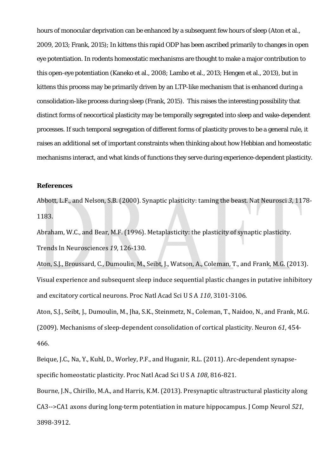hours of monocular deprivation can be enhanced by a subsequent few hours of sleep (Aton et al., 2009, 2013; Frank, 2015); In kittens this rapid ODP has been ascribed primarily to changes in open eye potentiation. In rodents homeostatic mechanisms are thought to make a major contribution to this open-eye potentiation (Kaneko et al., 2008; Lambo et al., 2013; Hengen et al., 2013), but in kittens this process may be primarily driven by an LTP-like mechanism that is enhanced during a consolidation-like process during sleep (Frank, 2015). This raises the interesting possibility that distinct forms of neocortical plasticity may be temporally segregated into sleep and wake-dependent processes. If such temporal segregation of different forms of plasticity proves to be a general rule, it raises an additional set of important constraints when thinking about how Hebbian and homeostatic mechanisms interact, and what kinds of functions they serve during experience-dependent plasticity.

#### **References**

Abbott, L.F., and Nelson, S.B. (2000). Synaptic plasticity: taming the beast. Nat Neurosci 3, 1178-1183. 

Abraham, W.C., and Bear, M.F. (1996). Metaplasticity: the plasticity of synaptic plasticity. Trends In Neurosciences 19, 126-130.

Aton, S.J., Broussard, C., Dumoulin, M., Seibt, J., Watson, A., Coleman, T., and Frank, M.G. (2013). Visual experience and subsequent sleep induce sequential plastic changes in putative inhibitory and excitatory cortical neurons. Proc Natl Acad Sci U S A 110, 3101-3106.

Aton, S.J., Seibt, J., Dumoulin, M., Jha, S.K., Steinmetz, N., Coleman, T., Naidoo, N., and Frank, M.G. (2009). Mechanisms of sleep-dependent consolidation of cortical plasticity. Neuron 61, 454-466. 

Beique, J.C., Na, Y., Kuhl, D., Worley, P.F., and Huganir, R.L. (2011). Arc-dependent synapsespecific homeostatic plasticity. Proc Natl Acad Sci U S A 108, 816-821.

Bourne, J.N., Chirillo, M.A., and Harris, K.M. (2013). Presynaptic ultrastructural plasticity along CA3-->CA1 axons during long-term potentiation in mature hippocampus. J Comp Neurol 521, 3898‐3912.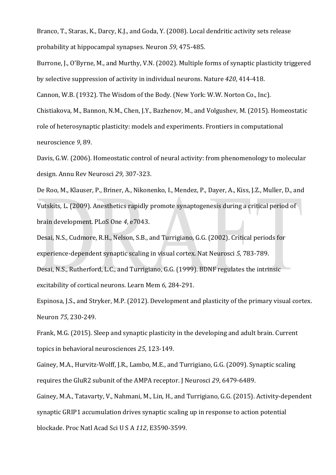Branco, T., Staras, K., Darcy, K.J., and Goda, Y. (2008). Local dendritic activity sets release probability at hippocampal synapses. Neuron *59*, 475‐485. 

Burrone, J., O'Byrne, M., and Murthy, V.N. (2002). Multiple forms of synaptic plasticity triggered by selective suppression of activity in individual neurons. Nature 420, 414-418.

Cannon, W.B. (1932). The Wisdom of the Body. (New York: W.W. Norton Co., Inc).

Chistiakova, M., Bannon, N.M., Chen, J.Y., Bazhenov, M., and Volgushev, M. (2015). Homeostatic role of heterosynaptic plasticity: models and experiments. Frontiers in computational neuroscience 9, 89.

Davis, G.W. (2006). Homeostatic control of neural activity: from phenomenology to molecular design. Annu Rev Neurosci 29, 307-323.

De Roo, M., Klauser, P., Briner, A., Nikonenko, I., Mendez, P., Daver, A., Kiss, J.Z., Muller, D., and Vutskits, L. (2009). Anesthetics rapidly promote synaptogenesis during a critical period of brain development. PLoS One *4*, e7043. 

Desai, N.S., Cudmore, R.H., Nelson, S.B., and Turrigiano, G.G. (2002). Critical periods for experience-dependent synaptic scaling in visual cortex. Nat Neurosci 5, 783-789. Desai, N.S., Rutherford, L.C., and Turrigiano, G.G. (1999). BDNF regulates the intrinsic excitability of cortical neurons. Learn Mem 6, 284-291.

Espinosa, J.S., and Stryker, M.P. (2012). Development and plasticity of the primary visual cortex. Neuron 75, 230-249.

Frank, M.G. (2015). Sleep and synaptic plasticity in the developing and adult brain. Current topics in behavioral neurosciences 25, 123-149.

Gainey, M.A., Hurvitz-Wolff, J.R., Lambo, M.E., and Turrigiano, G.G. (2009). Synaptic scaling requires the GluR2 subunit of the AMPA receptor. I Neurosci 29, 6479-6489.

Gainey, M.A., Tatavarty, V., Nahmani, M., Lin, H., and Turrigiano, G.G. (2015). Activity-dependent synaptic GRIP1 accumulation drives synaptic scaling up in response to action potential blockade. Proc Natl Acad Sci U S A *112*, E3590‐3599.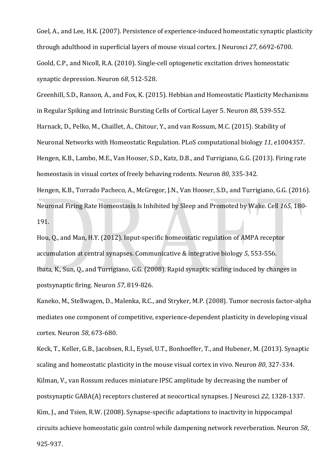Goel, A., and Lee, H.K. (2007). Persistence of experience-induced homeostatic synaptic plasticity through adulthood in superficial layers of mouse visual cortex. I Neurosci 27, 6692-6700. Goold, C.P., and Nicoll, R.A. (2010). Single-cell optogenetic excitation drives homeostatic synaptic depression. Neuron 68, 512-528.

Greenhill, S.D., Ranson, A., and Fox, K. (2015). Hebbian and Homeostatic Plasticity Mechanisms in Regular Spiking and Intrinsic Bursting Cells of Cortical Layer 5. Neuron 88, 539-552. Harnack, D., Pelko, M., Chaillet, A., Chitour, Y., and van Rossum, M.C. (2015). Stability of Neuronal Networks with Homeostatic Regulation. PLoS computational biology 11, e1004357. Hengen, K.B., Lambo, M.E., Van Hooser, S.D., Katz, D.B., and Turrigiano, G.G. (2013). Firing rate homeostasis in visual cortex of freely behaving rodents. Neuron 80, 335-342.

Hengen, K.B., Torrado Pacheco, A., McGregor, I.N., Van Hooser, S.D., and Turrigiano, G.G. (2016). Neuronal Firing Rate Homeostasis Is Inhibited by Sleep and Promoted by Wake. Cell 165, 180-191. 

Hou, Q., and Man, H.Y. (2012). Input-specific homeostatic regulation of AMPA receptor accumulation at central synapses. Communicative & integrative biology 5, 553-556. Ibata, K., Sun, Q., and Turrigiano, G.G. (2008). Rapid synaptic scaling induced by changes in postsynaptic firing. Neuron 57, 819-826.

Kaneko, M., Stellwagen, D., Malenka, R.C., and Stryker, M.P. (2008). Tumor necrosis factor-alpha mediates one component of competitive, experience-dependent plasticity in developing visual cortex. Neuron *58*, 673‐680. 

Keck, T., Keller, G.B., Jacobsen, R.I., Eysel, U.T., Bonhoeffer, T., and Hubener, M. (2013). Synaptic scaling and homeostatic plasticity in the mouse visual cortex in vivo. Neuron 80, 327-334. Kilman, V., van Rossum reduces miniature IPSC amplitude by decreasing the number of postsynaptic GABA(A) receptors clustered at neocortical synapses. J Neurosci 22, 1328-1337. Kim, I., and Tsien, R.W. (2008). Synapse-specific adaptations to inactivity in hippocampal circuits achieve homeostatic gain control while dampening network reverberation. Neuron 58,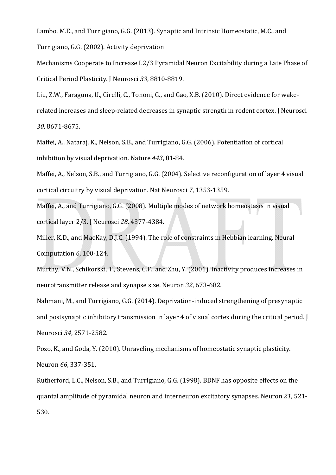Lambo, M.E., and Turrigiano, G.G. (2013). Synaptic and Intrinsic Homeostatic, M.C., and

Turrigiano, G.G. (2002). Activity deprivation

Mechanisms Cooperate to Increase L2/3 Pyramidal Neuron Excitability during a Late Phase of Critical Period Plasticity. J Neurosci *33*, 8810‐8819. 

Liu, Z.W., Faraguna, U., Cirelli, C., Tononi, G., and Gao, X.B. (2010). Direct evidence for wake-

related increases and sleep-related decreases in synaptic strength in rodent cortex. J Neurosci *30*, 8671‐8675. 

Maffei, A., Nataraj, K., Nelson, S.B., and Turrigiano, G.G. (2006). Potentiation of cortical inhibition by visual deprivation. Nature *443*, 81‐84. 

Maffei, A., Nelson, S.B., and Turrigiano, G.G. (2004). Selective reconfiguration of layer 4 visual cortical circuitry by visual deprivation. Nat Neurosci 7, 1353-1359.

Maffei, A., and Turrigiano, G.G. (2008). Multiple modes of network homeostasis in visual cortical layer 2/3. J Neurosci *28*, 4377‐4384. 

Miller, K.D., and MacKay, D.J.C. (1994). The role of constraints in Hebbian learning. Neural Computation *6*, 100-124.

Murthy, V.N., Schikorski, T., Stevens, C.F., and Zhu, Y. (2001). Inactivity produces increases in neurotransmitter release and synapse size. Neuron 32, 673-682.

Nahmani, M., and Turrigiano, G.G. (2014). Deprivation-induced strengthening of presynaptic and postsynaptic inhibitory transmission in layer 4 of visual cortex during the critical period. J Neurosci *34*, 2571‐2582. 

Pozo, K., and Goda, Y. (2010). Unraveling mechanisms of homeostatic synaptic plasticity. Neuron 66, 337-351.

Rutherford, L.C., Nelson, S.B., and Turrigiano, G.G. (1998). BDNF has opposite effects on the quantal amplitude of pyramidal neuron and interneuron excitatory synapses. Neuron 21, 521-530.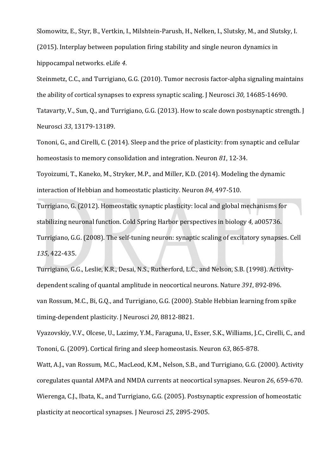Slomowitz, E., Styr, B., Vertkin, I., Milshtein-Parush, H., Nelken, I., Slutsky, M., and Slutsky, I.  $(2015)$ . Interplay between population firing stability and single neuron dynamics in hippocampal networks. eLife *4*. 

Steinmetz, C.C., and Turrigiano, G.G. (2010). Tumor necrosis factor-alpha signaling maintains the ability of cortical synapses to express synaptic scaling. J Neurosci 30, 14685-14690.

Tatavarty, V., Sun, O., and Turrigiano, G.G. (2013). How to scale down postsynaptic strength. I Neurosci 33, 13179-13189.

Tononi, G., and Cirelli, C. (2014). Sleep and the price of plasticity: from synaptic and cellular homeostasis to memory consolidation and integration. Neuron 81, 12-34.

Toyoizumi, T., Kaneko, M., Stryker, M.P., and Miller, K.D. (2014). Modeling the dynamic interaction of Hebbian and homeostatic plasticity. Neuron 84, 497-510.

Turrigiano, G. (2012). Homeostatic synaptic plasticity: local and global mechanisms for stabilizing neuronal function. Cold Spring Harbor perspectives in biology 4, a005736. Turrigiano, G.G. (2008). The self-tuning neuron: synaptic scaling of excitatory synapses. Cell *135*, 422‐435. 

Turrigiano, G.G., Leslie, K.R., Desai, N.S., Rutherford, L.C., and Nelson, S.B. (1998). Activitydependent scaling of quantal amplitude in neocortical neurons. Nature 391, 892-896. van Rossum, M.C., Bi, G.Q., and Turrigiano, G.G. (2000). Stable Hebbian learning from spike timing-dependent plasticity. J Neurosci 20, 8812-8821.

Vyazovskiy, V.V., Olcese, U., Lazimy, Y.M., Faraguna, U., Esser, S.K., Williams, J.C., Cirelli, C., and Tononi, G. (2009). Cortical firing and sleep homeostasis. Neuron 63, 865-878.

Watt, A.J., van Rossum, M.C., MacLeod, K.M., Nelson, S.B., and Turrigiano, G.G. (2000). Activity coregulates quantal AMPA and NMDA currents at neocortical synapses. Neuron 26, 659-670. Wierenga, C.J., Ibata, K., and Turrigiano, G.G. (2005). Postsynaptic expression of homeostatic plasticity at neocortical synapses. J Neurosci 25, 2895-2905.